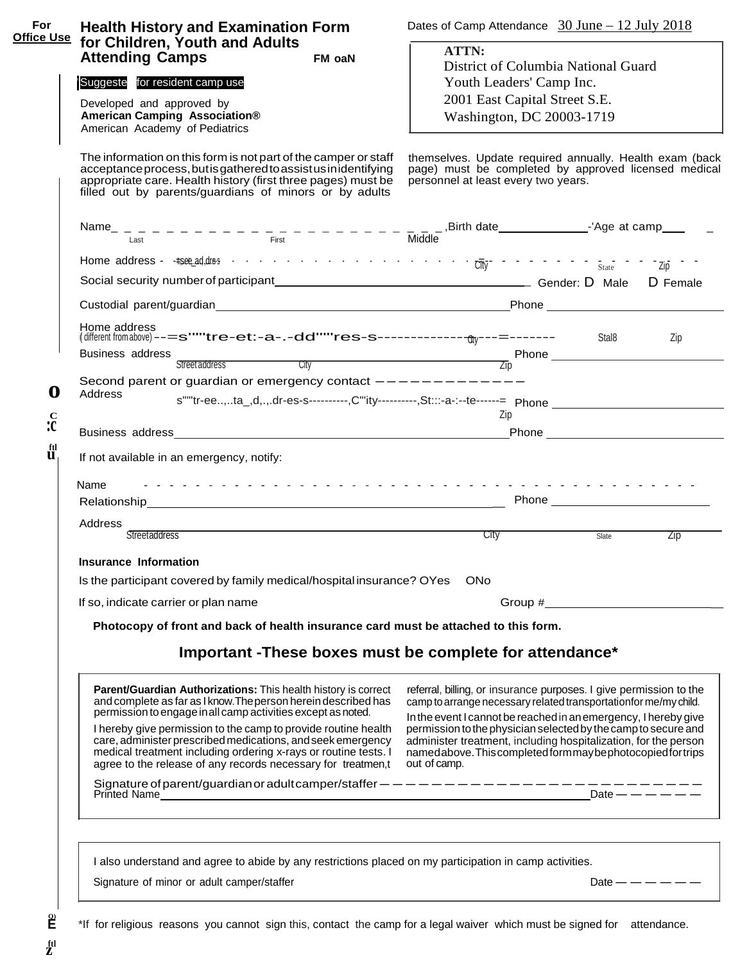| For<br><b>Office Use</b>           | <b>Health History and Examination Form</b>                                                                                                                                                                                                                                                                                                                                                                                                                           |        | Dates of Camp Attendance $30$ June $-12$ July 2018                                                                                                                                                                                                                                                                                                                                                                              |                                                                                                                  |  |  |  |  |  |
|------------------------------------|----------------------------------------------------------------------------------------------------------------------------------------------------------------------------------------------------------------------------------------------------------------------------------------------------------------------------------------------------------------------------------------------------------------------------------------------------------------------|--------|---------------------------------------------------------------------------------------------------------------------------------------------------------------------------------------------------------------------------------------------------------------------------------------------------------------------------------------------------------------------------------------------------------------------------------|------------------------------------------------------------------------------------------------------------------|--|--|--|--|--|
|                                    | for Children, Youth and Adults<br><b>Attending Camps</b>                                                                                                                                                                                                                                                                                                                                                                                                             | FM oaN | ATTN:                                                                                                                                                                                                                                                                                                                                                                                                                           |                                                                                                                  |  |  |  |  |  |
|                                    |                                                                                                                                                                                                                                                                                                                                                                                                                                                                      |        | District of Columbia National Guard                                                                                                                                                                                                                                                                                                                                                                                             |                                                                                                                  |  |  |  |  |  |
|                                    | Suggeste for resident camp use                                                                                                                                                                                                                                                                                                                                                                                                                                       |        | Youth Leaders' Camp Inc.                                                                                                                                                                                                                                                                                                                                                                                                        |                                                                                                                  |  |  |  |  |  |
|                                    | Developed and approved by                                                                                                                                                                                                                                                                                                                                                                                                                                            |        | 2001 East Capital Street S.E.                                                                                                                                                                                                                                                                                                                                                                                                   |                                                                                                                  |  |  |  |  |  |
|                                    | American Camping Association®                                                                                                                                                                                                                                                                                                                                                                                                                                        |        | Washington, DC 20003-1719                                                                                                                                                                                                                                                                                                                                                                                                       |                                                                                                                  |  |  |  |  |  |
|                                    | American Academy of Pediatrics                                                                                                                                                                                                                                                                                                                                                                                                                                       |        |                                                                                                                                                                                                                                                                                                                                                                                                                                 |                                                                                                                  |  |  |  |  |  |
|                                    | The information on this form is not part of the camper or staff<br>acceptance process, but is gathered to assist us in identifying<br>appropriate care. Health history (first three pages) must be<br>filled out by parents/guardians of minors or by adults                                                                                                                                                                                                         |        | personnel at least every two years.                                                                                                                                                                                                                                                                                                                                                                                             | themselves. Update required annually. Health exam (back<br>page) must be completed by approved licensed medical  |  |  |  |  |  |
|                                    |                                                                                                                                                                                                                                                                                                                                                                                                                                                                      |        |                                                                                                                                                                                                                                                                                                                                                                                                                                 |                                                                                                                  |  |  |  |  |  |
|                                    |                                                                                                                                                                                                                                                                                                                                                                                                                                                                      |        |                                                                                                                                                                                                                                                                                                                                                                                                                                 |                                                                                                                  |  |  |  |  |  |
|                                    |                                                                                                                                                                                                                                                                                                                                                                                                                                                                      |        |                                                                                                                                                                                                                                                                                                                                                                                                                                 |                                                                                                                  |  |  |  |  |  |
|                                    |                                                                                                                                                                                                                                                                                                                                                                                                                                                                      |        |                                                                                                                                                                                                                                                                                                                                                                                                                                 |                                                                                                                  |  |  |  |  |  |
|                                    |                                                                                                                                                                                                                                                                                                                                                                                                                                                                      |        |                                                                                                                                                                                                                                                                                                                                                                                                                                 |                                                                                                                  |  |  |  |  |  |
|                                    | Home address                                                                                                                                                                                                                                                                                                                                                                                                                                                         |        |                                                                                                                                                                                                                                                                                                                                                                                                                                 | Zip                                                                                                              |  |  |  |  |  |
|                                    | Business address                                                                                                                                                                                                                                                                                                                                                                                                                                                     |        |                                                                                                                                                                                                                                                                                                                                                                                                                                 |                                                                                                                  |  |  |  |  |  |
|                                    |                                                                                                                                                                                                                                                                                                                                                                                                                                                                      |        |                                                                                                                                                                                                                                                                                                                                                                                                                                 | Street address City City City Report of the City Report of the City Report of the City City City City City City  |  |  |  |  |  |
| O                                  | Second parent or guardian or emergency contact -----------<br>Address                                                                                                                                                                                                                                                                                                                                                                                                |        |                                                                                                                                                                                                                                                                                                                                                                                                                                 |                                                                                                                  |  |  |  |  |  |
|                                    |                                                                                                                                                                                                                                                                                                                                                                                                                                                                      |        | Zip                                                                                                                                                                                                                                                                                                                                                                                                                             | s""tr-ee,ta_,d,.,.dr-es-s----------,C"ity----------,St:::-a-:--te------= Phone _________________________________ |  |  |  |  |  |
| $\stackrel{\rm C}{\mathbf{C}}$     |                                                                                                                                                                                                                                                                                                                                                                                                                                                                      |        |                                                                                                                                                                                                                                                                                                                                                                                                                                 |                                                                                                                  |  |  |  |  |  |
| $\overset{\text{ftl}}{\mathbf{u}}$ | If not available in an emergency, notify:                                                                                                                                                                                                                                                                                                                                                                                                                            |        |                                                                                                                                                                                                                                                                                                                                                                                                                                 |                                                                                                                  |  |  |  |  |  |
|                                    | Name<br>Address                                                                                                                                                                                                                                                                                                                                                                                                                                                      |        |                                                                                                                                                                                                                                                                                                                                                                                                                                 |                                                                                                                  |  |  |  |  |  |
|                                    | <b>Streetaddress</b>                                                                                                                                                                                                                                                                                                                                                                                                                                                 |        |                                                                                                                                                                                                                                                                                                                                                                                                                                 | Slate<br>Zip                                                                                                     |  |  |  |  |  |
|                                    | Insurance Information                                                                                                                                                                                                                                                                                                                                                                                                                                                |        |                                                                                                                                                                                                                                                                                                                                                                                                                                 |                                                                                                                  |  |  |  |  |  |
|                                    | Is the participant covered by family medical/hospital insurance? OYes ONo                                                                                                                                                                                                                                                                                                                                                                                            |        |                                                                                                                                                                                                                                                                                                                                                                                                                                 |                                                                                                                  |  |  |  |  |  |
|                                    | If so, indicate carrier or plan name                                                                                                                                                                                                                                                                                                                                                                                                                                 |        | Group #                                                                                                                                                                                                                                                                                                                                                                                                                         |                                                                                                                  |  |  |  |  |  |
|                                    |                                                                                                                                                                                                                                                                                                                                                                                                                                                                      |        |                                                                                                                                                                                                                                                                                                                                                                                                                                 |                                                                                                                  |  |  |  |  |  |
|                                    | Photocopy of front and back of health insurance card must be attached to this form.                                                                                                                                                                                                                                                                                                                                                                                  |        |                                                                                                                                                                                                                                                                                                                                                                                                                                 |                                                                                                                  |  |  |  |  |  |
|                                    | Important -These boxes must be complete for attendance*                                                                                                                                                                                                                                                                                                                                                                                                              |        |                                                                                                                                                                                                                                                                                                                                                                                                                                 |                                                                                                                  |  |  |  |  |  |
|                                    | Parent/Guardian Authorizations: This health history is correct<br>and complete as far as I know. The person herein described has<br>permission to engage in all camp activities except as noted.<br>I hereby give permission to the camp to provide routine health<br>care, administer prescribed medications, and seek emergency<br>medical treatment including ordering x-rays or routine tests. I<br>agree to the release of any records necessary for treatmen,t |        | referral, billing, or insurance purposes. I give permission to the<br>camp to arrange necessary related transportation for me/my child.<br>In the event I cannot be reached in an emergency, I hereby give<br>permission to the physician selected by the camp to secure and<br>administer treatment, including hospitalization, for the person<br>namedabove. This completed form may be photocopied for trips<br>out of camp. |                                                                                                                  |  |  |  |  |  |
|                                    | Signature of parent/guardian or adult camper/staffer -------------------------<br>Printed Name <b>Figure 2018 Contract Contract Contract Contract Contract Contract Contract Contract Contract Contract Contract Contract Contract Contract Contract Contract Contract Contract Contract Contract Contract Contr</b>                                                                                                                                                 |        |                                                                                                                                                                                                                                                                                                                                                                                                                                 | Date — — — — — —                                                                                                 |  |  |  |  |  |
|                                    | I also understand and agree to abide by any restrictions placed on my participation in camp activities.<br>Signature of minor or adult camper/staffer                                                                                                                                                                                                                                                                                                                |        |                                                                                                                                                                                                                                                                                                                                                                                                                                 | Date $   -$                                                                                                      |  |  |  |  |  |
|                                    |                                                                                                                                                                                                                                                                                                                                                                                                                                                                      |        |                                                                                                                                                                                                                                                                                                                                                                                                                                 |                                                                                                                  |  |  |  |  |  |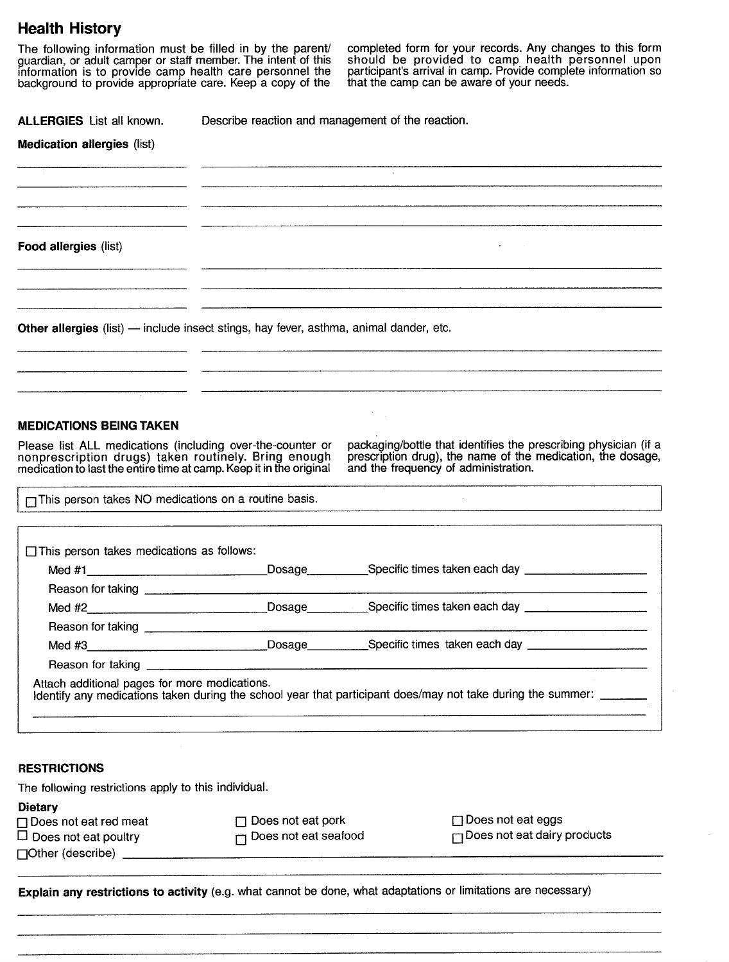# **Health History**

background to provide appropriate care. The intent of this should be provided to camp health information is to provide camp health care personnel the participant's arrival in camp. Provide complibackground to provide appro

The following information must be filled in by the parent/ completed form for your records. Any changes to this form guardian, or adult camper or staft member. The intent of this should be provided to camp health personnel upon information is to provide camp health care personnel the participant's arrival in camp. Provide complete information so

**ALLERGIES** List all known. Describe reaction and management of the reaction.

| <b>Medication allergies (list)</b> |                                                                                        |
|------------------------------------|----------------------------------------------------------------------------------------|
|                                    | contract of the                                                                        |
|                                    |                                                                                        |
| Food allergies (list)              | <b>Contractor</b><br>$\sim$                                                            |
|                                    |                                                                                        |
|                                    | Other allergies (list) - include insect stings, hay fever, asthma, animal dander, etc. |
|                                    |                                                                                        |
| $\sim 10^{-1}$                     |                                                                                        |

## **MEDICATIONS BEING TAKEN**

nonprescription drugs) taken routinely. Bring enough medication to last the entire time at camp. Keep it in the original

Please list ALL medications (including over-the-counter or packaging/bottle that identifies the prescribing physician (if a nonprescription drugs) taken routinely. Bring enough prescription drug), the name of the medicatio

OThis person takes NO medications on a routine basis.

|        | Dosage _____________Specific times taken each day ______________________________                              |
|--------|---------------------------------------------------------------------------------------------------------------|
|        |                                                                                                               |
| Med #2 | Dosage ____________Specific times taken each day _______________________________                              |
|        |                                                                                                               |
|        | Med #3_________________________________Dosage____________Specific times taken each day ______________________ |
|        |                                                                                                               |

## **RESTRICTIONS**

The following restrictions apply to this individual.

## **Dietary**

|                                     |  | □ Does not eat red meat |  |
|-------------------------------------|--|-------------------------|--|
| $\Box$ Property and a set of $\Box$ |  |                         |  |

□ Does not eat pork □ Does not eat eggs  $\Box$  Does not eat poultry  $\Box$  Does not eat seafood  $\Box$  Does not eat dairy products

 $\Box$ Other (describe)

Explain any restrictions to activity (e.g. what cannot be done, what adaptations or limitations are necessary)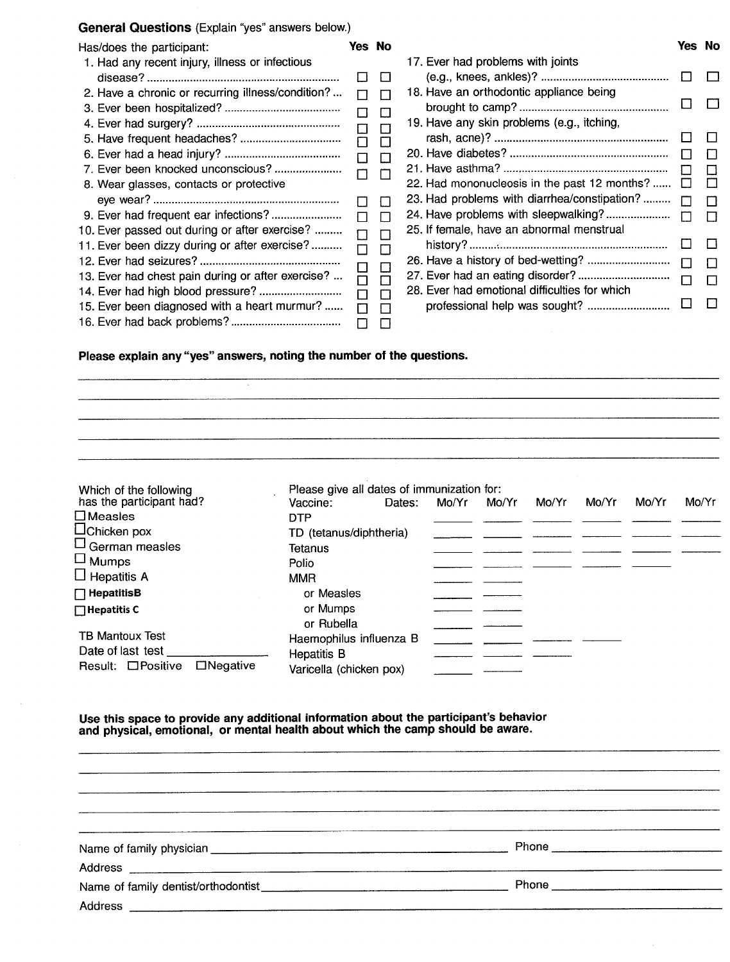## General Questions (Explain "yes" answers below.)

| Has/does the participant:                         |        | Yes No        |                                               | Yes No       |              |
|---------------------------------------------------|--------|---------------|-----------------------------------------------|--------------|--------------|
| 1. Had any recent injury, illness or infectious   |        |               | 17. Ever had problems with joints             |              |              |
|                                                   | $\Box$ | $\mathbf{I}$  |                                               | $\mathsf{L}$ | $\Box$       |
| 2. Have a chronic or recurring illness/condition? |        |               | 18. Have an orthodontic appliance being       |              |              |
|                                                   | П<br>п | Е<br>$\Gamma$ | 19. Have any skin problems (e.g., itching,    |              |              |
|                                                   | П      | $\Gamma$      |                                               | $\mathbf{1}$ | $\mathbf{L}$ |
|                                                   | П      | П             |                                               |              | П            |
|                                                   | П      | ш             |                                               |              | П            |
| 8. Wear glasses, contacts or protective           |        |               | 22. Had mononucleosis in the past 12 months?  |              | $\mathbf{I}$ |
|                                                   |        | $\mathbf{L}$  | 23. Had problems with diarrhea/constipation?  |              | $\Box$       |
|                                                   | П      | ┍             |                                               |              | $\Box$       |
| 10. Ever passed out during or after exercise?     | П      |               | 25. If female, have an abnormal menstrual     |              |              |
| 11. Ever been dizzy during or after exercise?     | □      | $\Box$        |                                               |              | - ITT        |
|                                                   | ⊔      | E             |                                               | П            | Л            |
| 13. Ever had chest pain during or after exercise? | $\Box$ | $\Box$        |                                               |              | П            |
|                                                   | П      | г             | 28. Ever had emotional difficulties for which |              |              |
| 15. Ever been diagnosed with a heart murmur?      | П      | Г             |                                               |              | Л            |
| 10 Ever had haak arablama?                        |        |               |                                               |              |              |

## Please explain any "yes" answers, noting the number of the questions.

16. Ever had back problems? . o 0

Which of the following<br>has the participant had?<br>Vaccine: Dates: Mo/Yr Mo/Yr has the participant had? Vaccine: Dates: Mo/Yr Mo/Yr Mo/Yr Mo/Yr Mo/Yr Mo/Yr Mo/Yr □ Measles DTP<br>□ Chicken pox TD( TD (tetanus/diphtheria)  $\square$ Griickeri pox<br> $\square$  German measles  $\square$  Tetanus ⊐ German measies<br>□ Mumps Polio  $\square$  Mumps Polio<br> $\square$  Hepatitis A MMR  $\overline{\phantom{a}}$ D HepatitisB **D** and D and D and D and D and D and D and D and D and D and D and D and D and D and D and D and D and D and D and D and D and D and D and D and D and D and D and D and D and D and D and D and D and D and D a **Thepatitis C** or Mumps or Rubella TB Mantoux Test **Haemophilus** influenza B Date of last test \_ Hepatitis B Varicella (chicken pox)

Use this space to provide any additional information about the participant's behavior and physical, emotional, or mental health about which the camp should be aware.